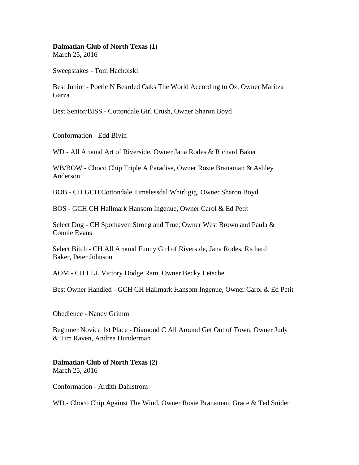## **Dalmatian Club of North Texas (1)**

March 25, 2016

Sweepstakes - Tom Hacholski

Best Junior - Poetic N Bearded Oaks The World According to Oz, Owner Maritza Garza

Best Senior/BISS - Cottondale Girl Crush, Owner Sharon Boyd

Conformation - Edd Bivin

WD - All Around Art of Riverside, Owner Jana Rodes & Richard Baker

WB/BOW - Choco Chip Triple A Paradise, Owner Rosie Branaman & Ashley Anderson

BOB - CH GCH Cottondale Timelessdal Whirligig, Owner Sharon Boyd

BOS - GCH CH Hallmark Hansom Ingenue, Owner Carol & Ed Petit

Select Dog - CH Spothaven Strong and True, Owner West Brown and Paula & Connie Evans

Select Bitch - CH All Around Funny Girl of Riverside, Jana Rodes, Richard Baker, Peter Johnson

AOM - CH LLL Victory Dodge Ram, Owner Becky Letsche

Best Owner Handled - GCH CH Hallmark Hansom Ingenue, Owner Carol & Ed Petit

Obedience - Nancy Grimm

Beginner Novice 1st Place - Diamond C All Around Get Out of Town, Owner Judy & Tim Raven, Andrea Hunderman

**Dalmatian Club of North Texas (2)**  March 25, 2016

Conformation - Ardith Dahlstrom

WD - Choco Chip Against The Wind, Owner Rosie Branaman, Grace & Ted Snider